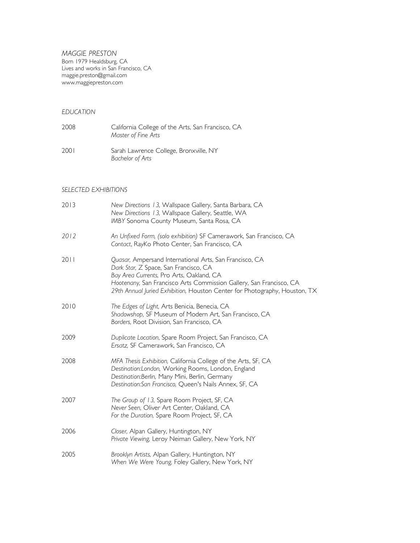*MAGGIE PRESTON* Born 1979 Healdsburg, CA Lives and works in San Francisco, CA maggie.preston@gmail.com www.maggiepreston.com

#### *EDUCATION*

2008 California College of the Arts, San Francisco, CA *Master of Fine Arts* 2001 Sarah Lawrence College, Bronxville, NY *Bachelor of Arts*

# *SELECTED EXHIBITIONS*

| 2013 | New Directions 13, Wallspace Gallery, Santa Barbara, CA<br>New Directions 13, Wallspace Gallery, Seattle, WA<br>IMBY Sonoma County Museum, Santa Rosa, CA                                                                                                                                         |
|------|---------------------------------------------------------------------------------------------------------------------------------------------------------------------------------------------------------------------------------------------------------------------------------------------------|
| 2012 | An Unfixed Form, (solo exhibition) SF Camerawork, San Francisco, CA<br>Contact, RayKo Photo Center, San Francisco, CA                                                                                                                                                                             |
| 2011 | Quasar, Ampersand International Arts, San Francisco, CA<br>Dark Star, Z Space, San Francisco, CA<br>Bay Area Currents, Pro Arts, Oakland, CA<br>Hootenany, San Francisco Arts Commission Gallery, San Francisco, CA<br>29th Annual Juried Exhibition, Houston Center for Photography, Houston, TX |
| 2010 | The Edges of Light, Arts Benicia, Benecia, CA<br>Shadowshop, SF Museum of Modern Art, San Francisco, CA<br>Borders, Root Division, San Francisco, CA                                                                                                                                              |
| 2009 | Duplicate Location, Spare Room Project, San Francisco, CA<br>Ersatz, SF Camerawork, San Francisco, CA                                                                                                                                                                                             |
| 2008 | MFA Thesis Exhibition, California College of the Arts, SF, CA<br>Destination:London, Working Rooms, London, England<br>Destination: Berlin, Many Mini, Berlin, Germany<br>Destination: San Francisco, Queen's Nails Annex, SF, CA                                                                 |
| 2007 | The Group of 13, Spare Room Project, SF, CA<br>Never Seen, Oliver Art Center, Oakland, CA<br>For the Duration, Spare Room Project, SF, CA                                                                                                                                                         |
| 2006 | Closer, Alpan Gallery, Huntington, NY<br>Private Viewing, Leroy Neiman Gallery, New York, NY                                                                                                                                                                                                      |
| 2005 | Brooklyn Artists, Alpan Gallery, Huntington, NY<br>When We Were Young, Foley Gallery, New York, NY                                                                                                                                                                                                |